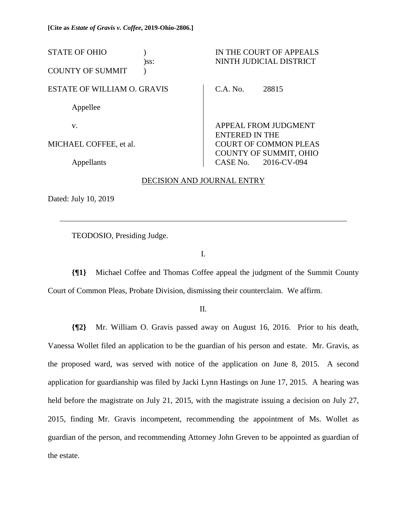| <b>STATE OF OHIO</b>               | $)$ SS: |                       | IN THE COURT OF APPEALS<br>NINTH JUDICIAL DISTRICT            |
|------------------------------------|---------|-----------------------|---------------------------------------------------------------|
| <b>COUNTY OF SUMMIT</b>            |         |                       |                                                               |
| <b>ESTATE OF WILLIAM O. GRAVIS</b> |         | C.A. No.              | 28815                                                         |
| Appellee                           |         |                       |                                                               |
| V.                                 |         | <b>ENTERED IN THE</b> | APPEAL FROM JUDGMENT                                          |
| MICHAEL COFFEE, et al.             |         |                       | <b>COURT OF COMMON PLEAS</b><br><b>COUNTY OF SUMMIT, OHIO</b> |
| Appellants                         |         |                       | CASE No. 2016-CV-094                                          |

### DECISION AND JOURNAL ENTRY

Dated: July 10, 2019

 $\overline{a}$ 

TEODOSIO, Presiding Judge.

I.

**{¶1}** Michael Coffee and Thomas Coffee appeal the judgment of the Summit County Court of Common Pleas, Probate Division, dismissing their counterclaim. We affirm.

II.

**{¶2}** Mr. William O. Gravis passed away on August 16, 2016. Prior to his death, Vanessa Wollet filed an application to be the guardian of his person and estate. Mr. Gravis, as the proposed ward, was served with notice of the application on June 8, 2015. A second application for guardianship was filed by Jacki Lynn Hastings on June 17, 2015. A hearing was held before the magistrate on July 21, 2015, with the magistrate issuing a decision on July 27, 2015, finding Mr. Gravis incompetent, recommending the appointment of Ms. Wollet as guardian of the person, and recommending Attorney John Greven to be appointed as guardian of the estate.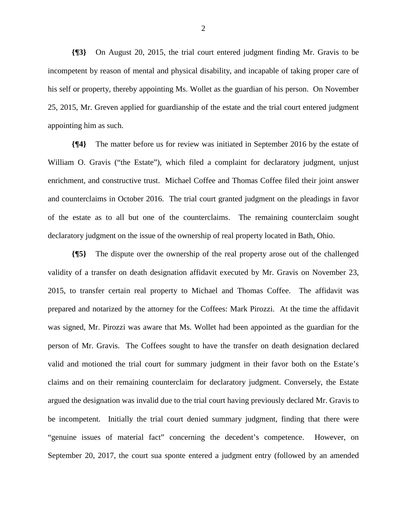**{¶3}** On August 20, 2015, the trial court entered judgment finding Mr. Gravis to be incompetent by reason of mental and physical disability, and incapable of taking proper care of his self or property, thereby appointing Ms. Wollet as the guardian of his person. On November 25, 2015, Mr. Greven applied for guardianship of the estate and the trial court entered judgment appointing him as such.

**{¶4}** The matter before us for review was initiated in September 2016 by the estate of William O. Gravis ("the Estate"), which filed a complaint for declaratory judgment, unjust enrichment, and constructive trust. Michael Coffee and Thomas Coffee filed their joint answer and counterclaims in October 2016. The trial court granted judgment on the pleadings in favor of the estate as to all but one of the counterclaims. The remaining counterclaim sought declaratory judgment on the issue of the ownership of real property located in Bath, Ohio.

**{¶5}** The dispute over the ownership of the real property arose out of the challenged validity of a transfer on death designation affidavit executed by Mr. Gravis on November 23, 2015, to transfer certain real property to Michael and Thomas Coffee. The affidavit was prepared and notarized by the attorney for the Coffees: Mark Pirozzi. At the time the affidavit was signed, Mr. Pirozzi was aware that Ms. Wollet had been appointed as the guardian for the person of Mr. Gravis. The Coffees sought to have the transfer on death designation declared valid and motioned the trial court for summary judgment in their favor both on the Estate's claims and on their remaining counterclaim for declaratory judgment. Conversely, the Estate argued the designation was invalid due to the trial court having previously declared Mr. Gravis to be incompetent. Initially the trial court denied summary judgment, finding that there were "genuine issues of material fact" concerning the decedent's competence. However, on September 20, 2017, the court sua sponte entered a judgment entry (followed by an amended

2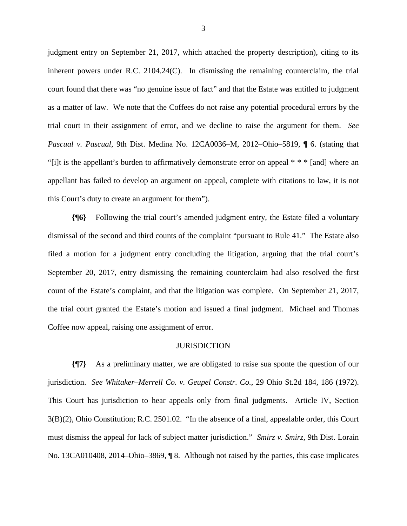judgment entry on September 21, 2017, which attached the property description), citing to its inherent powers under R.C. 2104.24(C). In dismissing the remaining counterclaim, the trial court found that there was "no genuine issue of fact" and that the Estate was entitled to judgment as a matter of law. We note that the Coffees do not raise any potential procedural errors by the trial court in their assignment of error, and we decline to raise the argument for them. *See Pascual v. Pascual*, 9th Dist. Medina No. 12CA0036–M, 2012–Ohio–5819, ¶ 6. (stating that "[i]t is the appellant's burden to affirmatively demonstrate error on appeal \* \* \* [and] where an appellant has failed to develop an argument on appeal, complete with citations to law, it is not this Court's duty to create an argument for them").

**{¶6}** Following the trial court's amended judgment entry, the Estate filed a voluntary dismissal of the second and third counts of the complaint "pursuant to Rule 41." The Estate also filed a motion for a judgment entry concluding the litigation, arguing that the trial court's September 20, 2017, entry dismissing the remaining counterclaim had also resolved the first count of the Estate's complaint, and that the litigation was complete. On September 21, 2017, the trial court granted the Estate's motion and issued a final judgment. Michael and Thomas Coffee now appeal, raising one assignment of error.

#### JURISDICTION

**{¶7}** As a preliminary matter, we are obligated to raise sua sponte the question of our jurisdiction. *See Whitaker–Merrell Co. v. Geupel Constr. Co.*, 29 Ohio St.2d 184, 186 (1972). This Court has jurisdiction to hear appeals only from final judgments. Article IV, Section 3(B)(2), Ohio Constitution; R.C. 2501.02. "In the absence of a final, appealable order, this Court must dismiss the appeal for lack of subject matter jurisdiction." *Smirz v. Smirz*, 9th Dist. Lorain No. 13CA010408, 2014–Ohio–3869, ¶ 8. Although not raised by the parties, this case implicates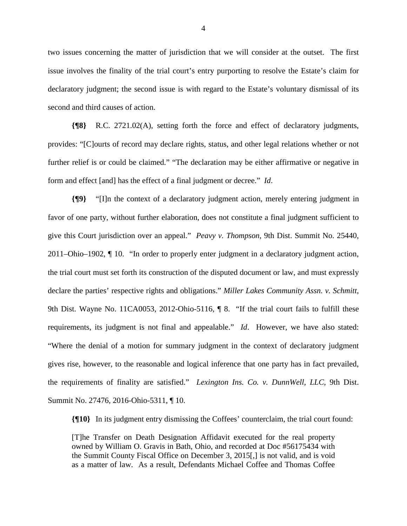two issues concerning the matter of jurisdiction that we will consider at the outset. The first issue involves the finality of the trial court's entry purporting to resolve the Estate's claim for declaratory judgment; the second issue is with regard to the Estate's voluntary dismissal of its second and third causes of action.

**{¶8}** R.C. 2721.02(A), setting forth the force and effect of declaratory judgments, provides: "[C]ourts of record may declare rights, status, and other legal relations whether or not further relief is or could be claimed." "The declaration may be either affirmative or negative in form and effect [and] has the effect of a final judgment or decree." *Id*.

**{¶9}** "[I]n the context of a declaratory judgment action, merely entering judgment in favor of one party, without further elaboration, does not constitute a final judgment sufficient to give this Court jurisdiction over an appeal." *Peavy v. Thompson*, 9th Dist. Summit No. 25440, 2011–Ohio–1902, ¶ 10. "In order to properly enter judgment in a declaratory judgment action, the trial court must set forth its construction of the disputed document or law, and must expressly declare the parties' respective rights and obligations." *Miller Lakes Community Assn. v. Schmitt*, 9th Dist. Wayne No. 11CA0053, 2012-Ohio-5116,  $\parallel$  8. "If the trial court fails to fulfill these requirements, its judgment is not final and appealable." *Id*. However, we have also stated: "Where the denial of a motion for summary judgment in the context of declaratory judgment gives rise, however, to the reasonable and logical inference that one party has in fact prevailed, the requirements of finality are satisfied." *Lexington Ins. Co. v. DunnWell, LLC*, 9th Dist. Summit No. 27476, 2016-Ohio-5311, ¶ 10.

**{¶10}** In its judgment entry dismissing the Coffees' counterclaim, the trial court found:

[T]he Transfer on Death Designation Affidavit executed for the real property owned by William O. Gravis in Bath, Ohio, and recorded at Doc #56175434 with the Summit County Fiscal Office on December 3, 2015[,] is not valid, and is void as a matter of law. As a result, Defendants Michael Coffee and Thomas Coffee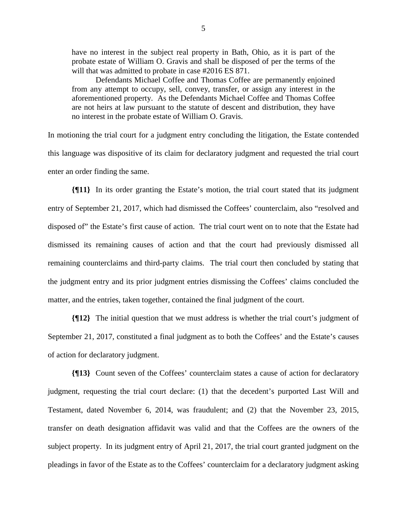have no interest in the subject real property in Bath, Ohio, as it is part of the probate estate of William O. Gravis and shall be disposed of per the terms of the will that was admitted to probate in case #2016 ES 871.

Defendants Michael Coffee and Thomas Coffee are permanently enjoined from any attempt to occupy, sell, convey, transfer, or assign any interest in the aforementioned property. As the Defendants Michael Coffee and Thomas Coffee are not heirs at law pursuant to the statute of descent and distribution, they have no interest in the probate estate of William O. Gravis.

In motioning the trial court for a judgment entry concluding the litigation, the Estate contended this language was dispositive of its claim for declaratory judgment and requested the trial court enter an order finding the same.

**{¶11}** In its order granting the Estate's motion, the trial court stated that its judgment entry of September 21, 2017, which had dismissed the Coffees' counterclaim, also "resolved and disposed of" the Estate's first cause of action. The trial court went on to note that the Estate had dismissed its remaining causes of action and that the court had previously dismissed all remaining counterclaims and third-party claims. The trial court then concluded by stating that the judgment entry and its prior judgment entries dismissing the Coffees' claims concluded the matter, and the entries, taken together, contained the final judgment of the court.

**{¶12}** The initial question that we must address is whether the trial court's judgment of September 21, 2017, constituted a final judgment as to both the Coffees' and the Estate's causes of action for declaratory judgment.

**{¶13}** Count seven of the Coffees' counterclaim states a cause of action for declaratory judgment, requesting the trial court declare: (1) that the decedent's purported Last Will and Testament, dated November 6, 2014, was fraudulent; and (2) that the November 23, 2015, transfer on death designation affidavit was valid and that the Coffees are the owners of the subject property. In its judgment entry of April 21, 2017, the trial court granted judgment on the pleadings in favor of the Estate as to the Coffees' counterclaim for a declaratory judgment asking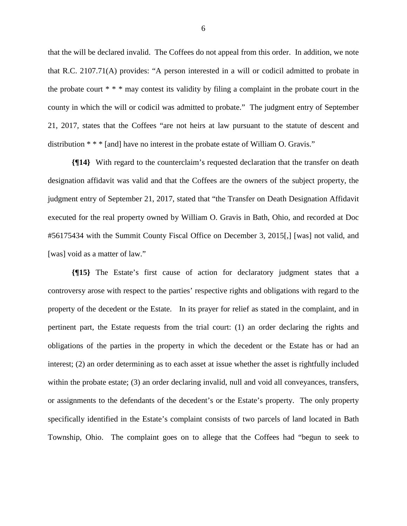that the will be declared invalid. The Coffees do not appeal from this order. In addition, we note that R.C. 2107.71(A) provides: "A person interested in a will or codicil admitted to probate in the probate court  $**$  \* may contest its validity by filing a complaint in the probate court in the county in which the will or codicil was admitted to probate." The judgment entry of September 21, 2017, states that the Coffees "are not heirs at law pursuant to the statute of descent and distribution \* \* \* [and] have no interest in the probate estate of William O. Gravis."

**{¶14}** With regard to the counterclaim's requested declaration that the transfer on death designation affidavit was valid and that the Coffees are the owners of the subject property, the judgment entry of September 21, 2017, stated that "the Transfer on Death Designation Affidavit executed for the real property owned by William O. Gravis in Bath, Ohio, and recorded at Doc #56175434 with the Summit County Fiscal Office on December 3, 2015[,] [was] not valid, and [was] void as a matter of law."

**{¶15}** The Estate's first cause of action for declaratory judgment states that a controversy arose with respect to the parties' respective rights and obligations with regard to the property of the decedent or the Estate. In its prayer for relief as stated in the complaint, and in pertinent part, the Estate requests from the trial court: (1) an order declaring the rights and obligations of the parties in the property in which the decedent or the Estate has or had an interest; (2) an order determining as to each asset at issue whether the asset is rightfully included within the probate estate; (3) an order declaring invalid, null and void all conveyances, transfers, or assignments to the defendants of the decedent's or the Estate's property. The only property specifically identified in the Estate's complaint consists of two parcels of land located in Bath Township, Ohio. The complaint goes on to allege that the Coffees had "begun to seek to

6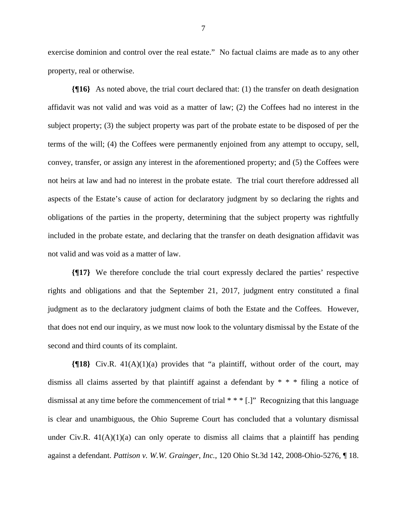exercise dominion and control over the real estate." No factual claims are made as to any other property, real or otherwise.

**{¶16}** As noted above, the trial court declared that: (1) the transfer on death designation affidavit was not valid and was void as a matter of law; (2) the Coffees had no interest in the subject property; (3) the subject property was part of the probate estate to be disposed of per the terms of the will; (4) the Coffees were permanently enjoined from any attempt to occupy, sell, convey, transfer, or assign any interest in the aforementioned property; and (5) the Coffees were not heirs at law and had no interest in the probate estate. The trial court therefore addressed all aspects of the Estate's cause of action for declaratory judgment by so declaring the rights and obligations of the parties in the property, determining that the subject property was rightfully included in the probate estate, and declaring that the transfer on death designation affidavit was not valid and was void as a matter of law.

**{¶17}** We therefore conclude the trial court expressly declared the parties' respective rights and obligations and that the September 21, 2017, judgment entry constituted a final judgment as to the declaratory judgment claims of both the Estate and the Coffees. However, that does not end our inquiry, as we must now look to the voluntary dismissal by the Estate of the second and third counts of its complaint.

**{¶18}** Civ.R. 41(A)(1)(a) provides that "a plaintiff, without order of the court, may dismiss all claims asserted by that plaintiff against a defendant by \* \* \* filing a notice of dismissal at any time before the commencement of trial \* \* \* [.]" Recognizing that this language is clear and unambiguous, the Ohio Supreme Court has concluded that a voluntary dismissal under Civ.R.  $41(A)(1)(a)$  can only operate to dismiss all claims that a plaintiff has pending against a defendant. *Pattison v. W.W. Grainger, Inc.*, 120 Ohio St.3d 142, 2008-Ohio-5276, ¶ 18.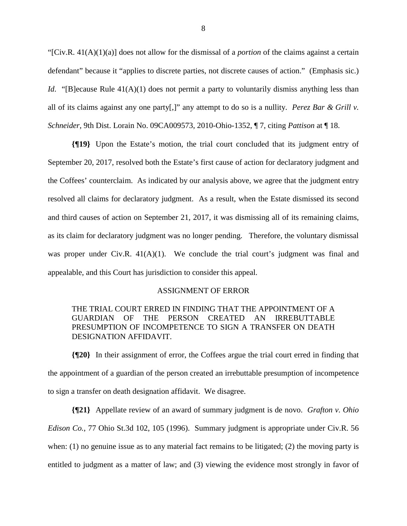"[Civ.R. 41(A)(1)(a)] does not allow for the dismissal of a *portion* of the claims against a certain defendant" because it "applies to discrete parties, not discrete causes of action." (Emphasis sic.) *Id.* "[B]ecause Rule 41(A)(1) does not permit a party to voluntarily dismiss anything less than all of its claims against any one party[,]" any attempt to do so is a nullity. *Perez Bar & Grill v. Schneider*, 9th Dist. Lorain No. 09CA009573, 2010-Ohio-1352, ¶ 7, citing *Pattison* at ¶ 18.

**{¶19}** Upon the Estate's motion, the trial court concluded that its judgment entry of September 20, 2017, resolved both the Estate's first cause of action for declaratory judgment and the Coffees' counterclaim. As indicated by our analysis above, we agree that the judgment entry resolved all claims for declaratory judgment. As a result, when the Estate dismissed its second and third causes of action on September 21, 2017, it was dismissing all of its remaining claims, as its claim for declaratory judgment was no longer pending. Therefore, the voluntary dismissal was proper under Civ.R. 41(A)(1). We conclude the trial court's judgment was final and appealable, and this Court has jurisdiction to consider this appeal.

### ASSIGNMENT OF ERROR

## THE TRIAL COURT ERRED IN FINDING THAT THE APPOINTMENT OF A GUARDIAN OF THE PERSON CREATED AN IRREBUTTABLE PRESUMPTION OF INCOMPETENCE TO SIGN A TRANSFER ON DEATH DESIGNATION AFFIDAVIT.

**{¶20}** In their assignment of error, the Coffees argue the trial court erred in finding that the appointment of a guardian of the person created an irrebuttable presumption of incompetence to sign a transfer on death designation affidavit. We disagree.

**{¶21}** Appellate review of an award of summary judgment is de novo. *Grafton v. Ohio Edison Co.*, 77 Ohio St.3d 102, 105 (1996). Summary judgment is appropriate under Civ.R. 56 when: (1) no genuine issue as to any material fact remains to be litigated; (2) the moving party is entitled to judgment as a matter of law; and (3) viewing the evidence most strongly in favor of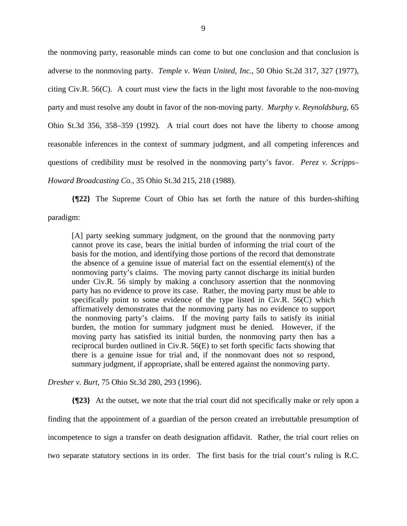the nonmoving party, reasonable minds can come to but one conclusion and that conclusion is adverse to the nonmoving party. *Temple v. Wean United, Inc.*, 50 Ohio St.2d 317, 327 (1977), citing Civ.R. 56(C). A court must view the facts in the light most favorable to the non-moving party and must resolve any doubt in favor of the non-moving party. *Murphy v. Reynoldsburg*, 65 Ohio St.3d 356, 358–359 (1992). A trial court does not have the liberty to choose among reasonable inferences in the context of summary judgment, and all competing inferences and questions of credibility must be resolved in the nonmoving party's favor. *Perez v. Scripps– Howard Broadcasting Co.*, 35 Ohio St.3d 215, 218 (1988).

**{¶22}** The Supreme Court of Ohio has set forth the nature of this burden-shifting paradigm:

[A] party seeking summary judgment, on the ground that the nonmoving party cannot prove its case, bears the initial burden of informing the trial court of the basis for the motion, and identifying those portions of the record that demonstrate the absence of a genuine issue of material fact on the essential element(s) of the nonmoving party's claims. The moving party cannot discharge its initial burden under Civ.R. 56 simply by making a conclusory assertion that the nonmoving party has no evidence to prove its case. Rather, the moving party must be able to specifically point to some evidence of the type listed in Civ.R. 56(C) which affirmatively demonstrates that the nonmoving party has no evidence to support the nonmoving party's claims. If the moving party fails to satisfy its initial burden, the motion for summary judgment must be denied. However, if the moving party has satisfied its initial burden, the nonmoving party then has a reciprocal burden outlined in Civ.R. 56(E) to set forth specific facts showing that there is a genuine issue for trial and, if the nonmovant does not so respond, summary judgment, if appropriate, shall be entered against the nonmoving party.

*Dresher v. Burt*, 75 Ohio St.3d 280, 293 (1996).

**{¶23}** At the outset, we note that the trial court did not specifically make or rely upon a finding that the appointment of a guardian of the person created an irrebuttable presumption of incompetence to sign a transfer on death designation affidavit. Rather, the trial court relies on two separate statutory sections in its order. The first basis for the trial court's ruling is R.C.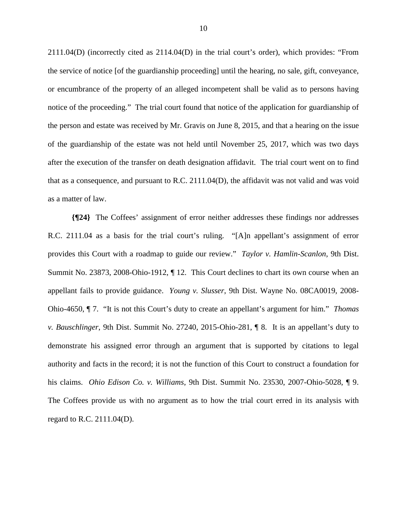2111.04(D) (incorrectly cited as 2114.04(D) in the trial court's order), which provides: "From the service of notice [of the guardianship proceeding] until the hearing, no sale, gift, conveyance, or encumbrance of the property of an alleged incompetent shall be valid as to persons having notice of the proceeding." The trial court found that notice of the application for guardianship of the person and estate was received by Mr. Gravis on June 8, 2015, and that a hearing on the issue of the guardianship of the estate was not held until November 25, 2017, which was two days after the execution of the transfer on death designation affidavit. The trial court went on to find that as a consequence, and pursuant to R.C. 2111.04(D), the affidavit was not valid and was void as a matter of law.

**{¶24}** The Coffees' assignment of error neither addresses these findings nor addresses R.C. 2111.04 as a basis for the trial court's ruling. "[A]n appellant's assignment of error provides this Court with a roadmap to guide our review." *Taylor v. Hamlin-Scanlon*, 9th Dist. Summit No. 23873, 2008-Ohio-1912, ¶ 12. This Court declines to chart its own course when an appellant fails to provide guidance. *Young v. Slusser*, 9th Dist. Wayne No. 08CA0019, 2008- Ohio-4650, ¶ 7. "It is not this Court's duty to create an appellant's argument for him." *Thomas v. Bauschlinger*, 9th Dist. Summit No. 27240, 2015-Ohio-281, ¶ 8. It is an appellant's duty to demonstrate his assigned error through an argument that is supported by citations to legal authority and facts in the record; it is not the function of this Court to construct a foundation for his claims. *Ohio Edison Co. v. Williams*, 9th Dist. Summit No. 23530, 2007-Ohio-5028, ¶ 9. The Coffees provide us with no argument as to how the trial court erred in its analysis with regard to R.C. 2111.04(D).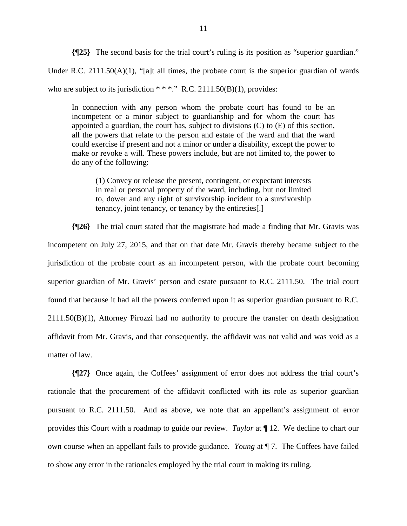**{¶25}** The second basis for the trial court's ruling is its position as "superior guardian."

Under R.C. 2111.50( $A$ )(1), "[a]t all times, the probate court is the superior guardian of wards

who are subject to its jurisdiction  $**$ ." R.C. 2111.50(B)(1), provides:

In connection with any person whom the probate court has found to be an incompetent or a minor subject to guardianship and for whom the court has appointed a guardian, the court has, subject to divisions (C) to (E) of this section, all the powers that relate to the person and estate of the ward and that the ward could exercise if present and not a minor or under a disability, except the power to make or revoke a will. These powers include, but are not limited to, the power to do any of the following:

(1) Convey or release the present, contingent, or expectant interests in real or personal property of the ward, including, but not limited to, dower and any right of survivorship incident to a survivorship tenancy, joint tenancy, or tenancy by the entireties[.]

**{¶26}** The trial court stated that the magistrate had made a finding that Mr. Gravis was incompetent on July 27, 2015, and that on that date Mr. Gravis thereby became subject to the jurisdiction of the probate court as an incompetent person, with the probate court becoming superior guardian of Mr. Gravis' person and estate pursuant to R.C. 2111.50. The trial court found that because it had all the powers conferred upon it as superior guardian pursuant to R.C. 2111.50(B)(1), Attorney Pirozzi had no authority to procure the transfer on death designation affidavit from Mr. Gravis, and that consequently, the affidavit was not valid and was void as a matter of law.

**{¶27}** Once again, the Coffees' assignment of error does not address the trial court's rationale that the procurement of the affidavit conflicted with its role as superior guardian pursuant to R.C. 2111.50. And as above, we note that an appellant's assignment of error provides this Court with a roadmap to guide our review. *Taylor* at ¶ 12. We decline to chart our own course when an appellant fails to provide guidance. *Young* at ¶ 7. The Coffees have failed to show any error in the rationales employed by the trial court in making its ruling.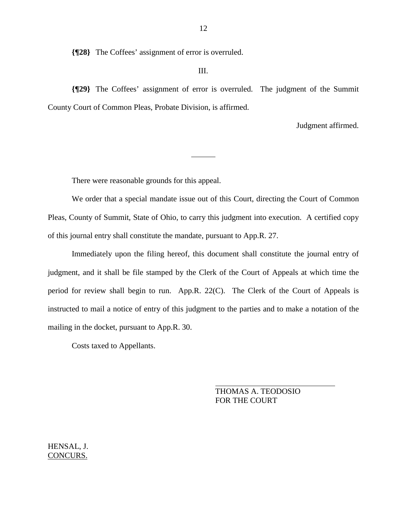**{¶28}** The Coffees' assignment of error is overruled.

### III.

**{¶29}** The Coffees' assignment of error is overruled. The judgment of the Summit County Court of Common Pleas, Probate Division, is affirmed.

 $\overline{a}$ 

Judgment affirmed.

There were reasonable grounds for this appeal.

 We order that a special mandate issue out of this Court, directing the Court of Common Pleas, County of Summit, State of Ohio, to carry this judgment into execution. A certified copy of this journal entry shall constitute the mandate, pursuant to App.R. 27.

 Immediately upon the filing hereof, this document shall constitute the journal entry of judgment, and it shall be file stamped by the Clerk of the Court of Appeals at which time the period for review shall begin to run. App.R. 22(C). The Clerk of the Court of Appeals is instructed to mail a notice of entry of this judgment to the parties and to make a notation of the mailing in the docket, pursuant to App.R. 30.

Costs taxed to Appellants.

 THOMAS A. TEODOSIO FOR THE COURT

HENSAL, J. CONCURS.